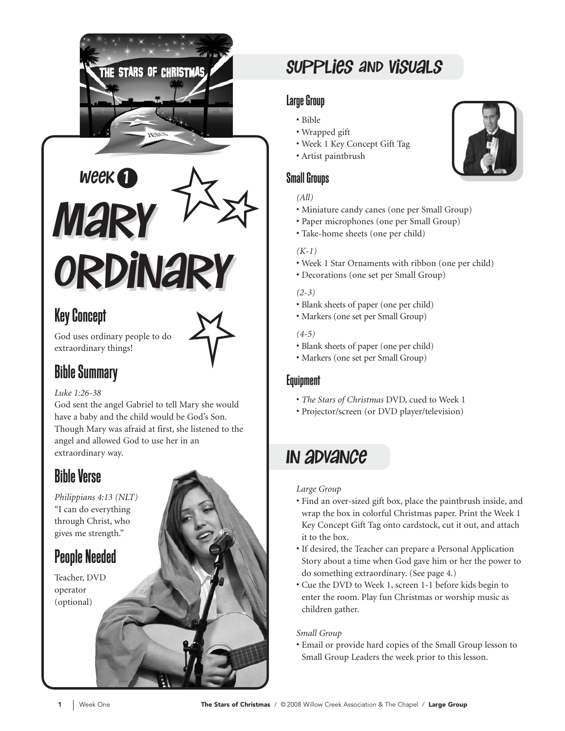



### Key Concept

God uses ordinary people to do extraordinary things!



#### *Luke 1:26-38*

God sent the angel Gabriel to tell Mary she would have a baby and the child would be God's Son. Though Mary was afraid at first, she listened to the angel and allowed God to use her in an extraordinary way.

### Bible Verse

*Philippians 4:13 (NLT)*  "I can do everything through Christ, who gives me strength."

### People Needed

Teacher, DVD operator (optional)

### Supplies and Visuals

#### Large Group

- Bible
- Wrapped gift
- Week 1 Key Concept Gift Tag
- Artist paintbrush

### Small Groups

#### *(All)*

- Miniature candy canes (one per Small Group)
- Paper microphones (one per Small Group)
- Take-home sheets (one per child)

#### *(K-1)*

- Week 1 Star Ornaments with ribbon (one per child)
- Decorations (one set per Small Group)

#### *(2-3)*

- Blank sheets of paper (one per child)
- Markers (one set per Small Group)

#### *(4-5)*

- Blank sheets of paper (one per child)
- Markers (one set per Small Group)

#### Equipment

- *The Stars of Christmas* DVD, cued to Week 1
- Projector/screen (or DVD player/television)

### In Advance

#### *Large Group*

- Find an over-sized gift box, place the paintbrush inside, and wrap the box in colorful Christmas paper. Print the Week 1 Key Concept Gift Tag onto cardstock, cut it out, and attach it to the box.
- If desired, the Teacher can prepare a Personal Application Story about a time when God gave him or her the power to do something extraordinary. (See page 4.)
- Cue the DVD to Week 1, screen 1-1 before kids begin to enter the room. Play fun Christmas or worship music as children gather.

#### *Small Group*

• Email or provide hard copies of the Small Group lesson to Small Group Leaders the week prior to this lesson.

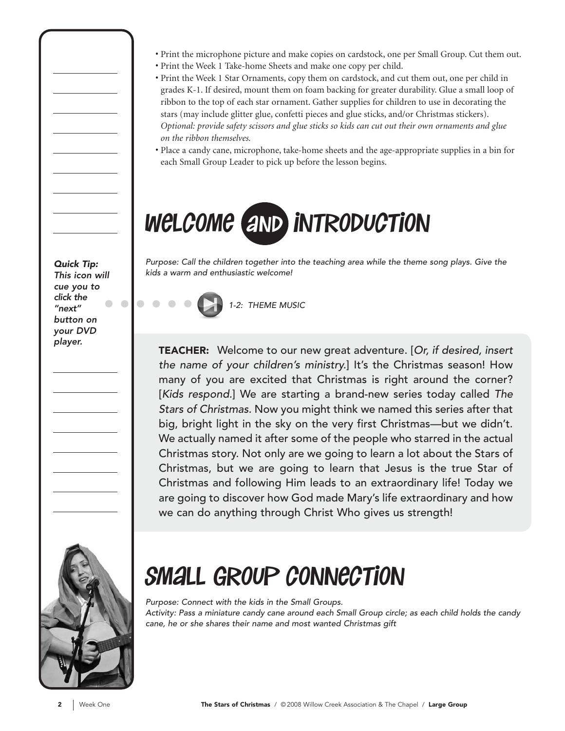- Print the microphone picture and make copies on cardstock, one per Small Group. Cut them out.
- Print the Week 1 Take-home Sheets and make one copy per child.
- Print the Week 1 Star Ornaments, copy them on cardstock, and cut them out, one per child in grades K-1. If desired, mount them on foam backing for greater durability. Glue a small loop of ribbon to the top of each star ornament. Gather supplies for children to use in decorating the stars (may include glitter glue, confetti pieces and glue sticks, and/or Christmas stickers). *Optional: provide safety scissors and glue sticks so kids can cut out their own ornaments and glue on the ribbon themselves.*
- Place a candy cane, microphone, take-home sheets and the age-appropriate supplies in a bin for each Small Group Leader to pick up before the lesson begins.

# welcome and introduction

Purpose: Call the children together into the teaching area while the theme song plays. Give the kids a warm and enthusiastic welcome!

1-2: THEME MUSIC

TEACHER: Welcome to our new great adventure. [Or, if desired, insert the name of your children's ministry.] It's the Christmas season! How many of you are excited that Christmas is right around the corner? [Kids respond.] We are starting a brand-new series today called The Stars of Christmas. Now you might think we named this series after that big, bright light in the sky on the very first Christmas—but we didn't. We actually named it after some of the people who starred in the actual Christmas story. Not only are we going to learn a lot about the Stars of Christmas, but we are going to learn that Jesus is the true Star of Christmas and following Him leads to an extraordinary life! Today we are going to discover how God made Mary's life extraordinary and how we can do anything through Christ Who gives us strength!



# small group connection

Purpose: Connect with the kids in the Small Groups. Activity: Pass a miniature candy cane around each Small Group circle; as each child holds the candy cane, he or she shares their name and most wanted Christmas gift

Quick Tip: This icon will cue you to click the  $\begin{array}{c} \bullet \\ \bullet \end{array}$ "next" button on your DVD player.

 $\begin{array}{ccc} \bullet & \bullet & \bullet \\ \bullet & \bullet & \bullet \end{array}$ 

 $\bullet$   $\bullet$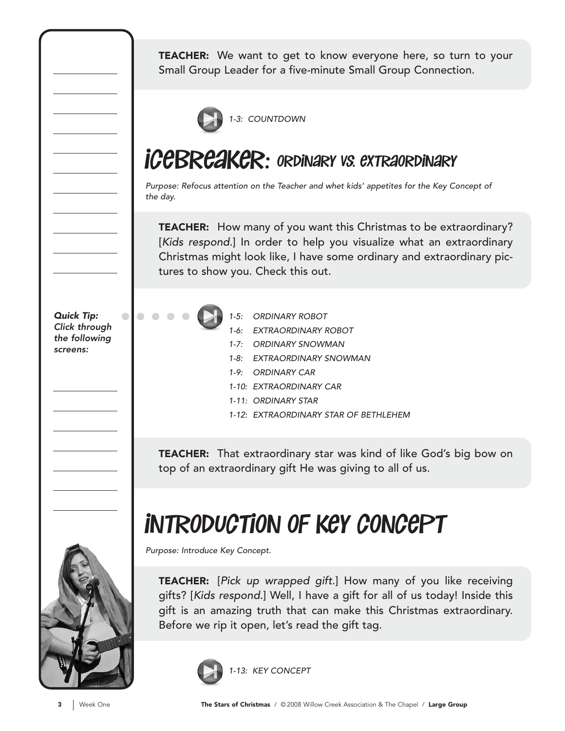TEACHER: We want to get to know everyone here, so turn to your Small Group Leader for a five-minute Small Group Connection.



### **iCEBREAKER: ORDINARY VS. EXTRAORDINARY**

Purpose: Refocus attention on the Teacher and whet kids' appetites for the Key Concept of the day.

**TEACHER:** How many of you want this Christmas to be extraordinary? [Kids respond.] In order to help you visualize what an extraordinary Christmas might look like, I have some ordinary and extraordinary pictures to show you. Check this out.

Quick Tip: Click through the following screens:

 $\bullet$ 



- 1-5: ORDINARY ROBOT
- 1-6: EXTRAORDINARY ROBOT
- 1-7: ORDINARY SNOWMAN
- 1-8: EXTRAORDINARY SNOWMAN
- 1-9: ORDINARY CAR
- 1-10: EXTRAORDINARY CAR
- 1-11: ORDINARY STAR
- 1-12: EXTRAORDINARY STAR OF BETHLEHEM

**TEACHER:** That extraordinary star was kind of like God's big bow on top of an extraordinary gift He was giving to all of us.

# introduction of key concept

Purpose: Introduce Key Concept.

TEACHER: [Pick up wrapped gift.] How many of you like receiving gifts? [Kids respond.] Well, I have a gift for all of us today! Inside this gift is an amazing truth that can make this Christmas extraordinary. Before we rip it open, let's read the gift tag.

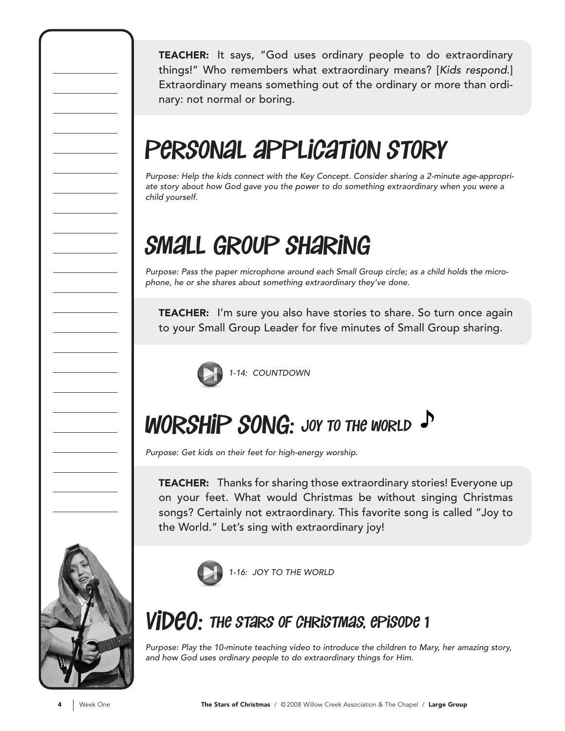TEACHER: It says, "God uses ordinary people to do extraordinary things!" Who remembers what extraordinary means? [Kids respond.] Extraordinary means something out of the ordinary or more than ordinary: not normal or boring.

# personal application story

Purpose: Help the kids connect with the Key Concept. Consider sharing a 2-minute age-appropriate story about how God gave you the power to do something extraordinary when you were a child yourself.

# small group sharing

Purpose: Pass the paper microphone around each Small Group circle; as a child holds the microphone, he or she shares about something extraordinary they've done.

TEACHER: I'm sure you also have stories to share. So turn once again to your Small Group Leader for five minutes of Small Group sharing.



# **WORSHIP SONG: JOY TO THE WORLD**

Purpose: Get kids on their feet for high-energy worship.

TEACHER: Thanks for sharing those extraordinary stories! Everyone up on your feet. What would Christmas be without singing Christmas songs? Certainly not extraordinary. This favorite song is called "Joy to the World." Let's sing with extraordinary joy!



1-16: JOY TO THE WORLD

## $\bm{\mathit{VIDEO}}$ : the stars of christmas, episode 1

Purpose: Play the 10-minute teaching video to introduce the children to Mary, her amazing story, and how God uses ordinary people to do extraordinary things for Him.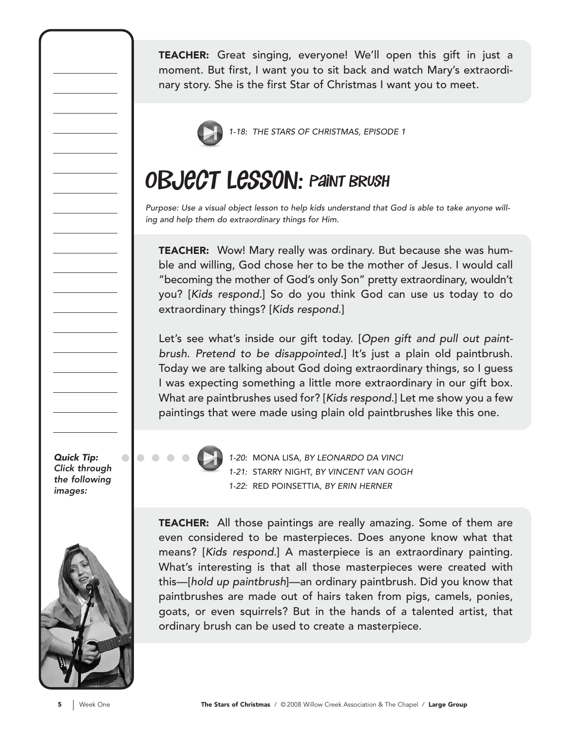TEACHER: Great singing, everyone! We'll open this gift in just a moment. But first, I want you to sit back and watch Mary's extraordinary story. She is the first Star of Christmas I want you to meet.



1-18: THE STARS OF CHRISTMAS, EPISODE 1

## OBJECT LESSON: PAINT BRUSH

Purpose: Use a visual object lesson to help kids understand that God is able to take anyone willing and help them do extraordinary things for Him.

TEACHER: Wow! Mary really was ordinary. But because she was humble and willing, God chose her to be the mother of Jesus. I would call "becoming the mother of God's only Son" pretty extraordinary, wouldn't you? [Kids respond.] So do you think God can use us today to do extraordinary things? [Kids respond.]

Let's see what's inside our gift today. [Open gift and pull out paintbrush. Pretend to be disappointed.] It's just a plain old paintbrush. Today we are talking about God doing extraordinary things, so I guess I was expecting something a little more extraordinary in our gift box. What are paintbrushes used for? [Kids respond.] Let me show you a few paintings that were made using plain old paintbrushes like this one.

Quick Tip: Click through the following images:

 $\bullet$ 



1-20: MONA LISA, BY LEONARDO DA VINCI 1-21: STARRY NIGHT, BY VINCENT VAN GOGH 1-22: RED POINSETTIA, BY ERIN HERNER

TEACHER: All those paintings are really amazing. Some of them are even considered to be masterpieces. Does anyone know what that means? [Kids respond.] A masterpiece is an extraordinary painting. What's interesting is that all those masterpieces were created with this—[hold up paintbrush]—an ordinary paintbrush. Did you know that paintbrushes are made out of hairs taken from pigs, camels, ponies, goats, or even squirrels? But in the hands of a talented artist, that ordinary brush can be used to create a masterpiece.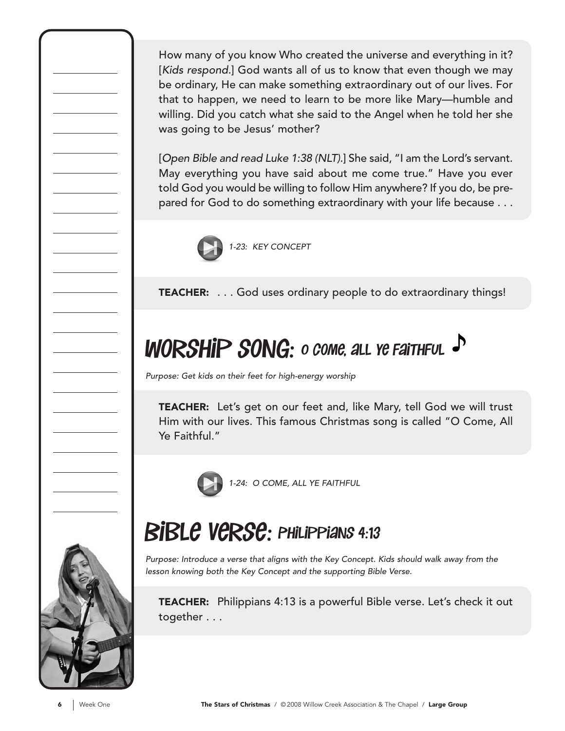How many of you know Who created the universe and everything in it? [Kids respond.] God wants all of us to know that even though we may be ordinary, He can make something extraordinary out of our lives. For that to happen, we need to learn to be more like Mary—humble and willing. Did you catch what she said to the Angel when he told her she was going to be Jesus' mother?

[Open Bible and read Luke 1:38 (NLT).] She said, "I am the Lord's servant. May everything you have said about me come true." Have you ever told God you would be willing to follow Him anywhere? If you do, be prepared for God to do something extraordinary with your life because . . .



TEACHER: . . . God uses ordinary people to do extraordinary things!

# WORSHIP SONG: o come, all ye Faithful

Purpose: Get kids on their feet for high-energy worship

TEACHER: Let's get on our feet and, like Mary, tell God we will trust Him with our lives. This famous Christmas song is called "O Come, All Ye Faithful."



1-24: O COME, ALL YE FAITHFUL



# BIBLE VERSE: PHILIPPIANS 4:13

Purpose: Introduce a verse that aligns with the Key Concept. Kids should walk away from the lesson knowing both the Key Concept and the supporting Bible Verse.

TEACHER: Philippians 4:13 is a powerful Bible verse. Let's check it out together . . .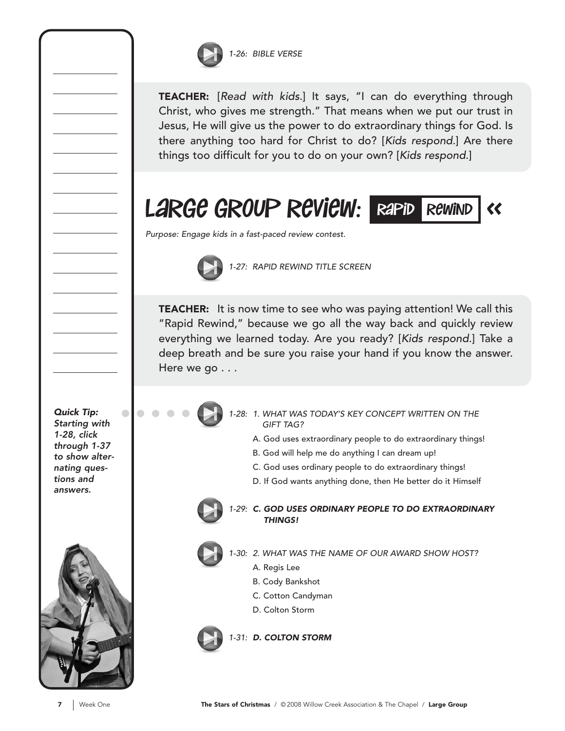

TEACHER: [Read with kids.] It says, "I can do everything through Christ, who gives me strength." That means when we put our trust in Jesus, He will give us the power to do extraordinary things for God. Is there anything too hard for Christ to do? [Kids respond.] Are there things too difficult for you to do on your own? [Kids respond.]

LARGE GROUP REVIEW: RAPID REWIND



Purpose: Engage kids in a fast-paced review contest.



1-27: RAPID REWIND TITLE SCREEN

**TEACHER:** It is now time to see who was paying attention! We call this "Rapid Rewind," because we go all the way back and quickly review everything we learned today. Are you ready? [Kids respond.] Take a deep breath and be sure you raise your hand if you know the answer. Here we go . . .

Quick Tip: Starting with 1-28, click through 1-37 to show alternating questions and answers.

 $\bullet$ 



- 1-28: 1. WHAT WAS TODAY'S KEY CONCEPT WRITTEN ON THE GIFT TAG?
	- A. God uses extraordinary people to do extraordinary things!
	- B. God will help me do anything I can dream up!
	- C. God uses ordinary people to do extraordinary things!
	- D. If God wants anything done, then He better do it Himself



#### 1-29: C. GOD USES ORDINARY PEOPLE TO DO EXTRAORDINARY THINGS!

- 1-30: 2. WHAT WAS THE NAME OF OUR AWARD SHOW HOST?
	- A. Regis Lee
		- B. Cody Bankshot
		- C. Cotton Candyman
		- D. Colton Storm

1-31: D. COLTON STORM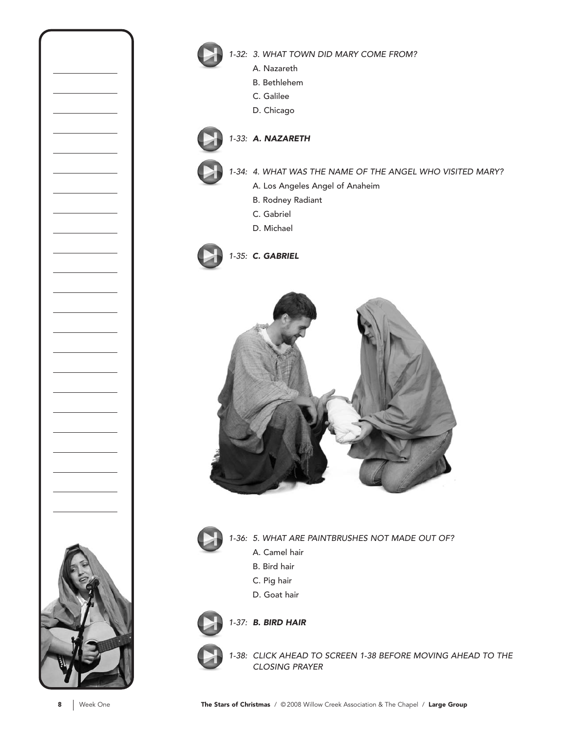

1-32: 3. WHAT TOWN DID MARY COME FROM?

- A. Nazareth
- B. Bethlehem
- C. Galilee
- D. Chicago

#### 1-33: A. NAZARETH

- 1-34: 4. WHAT WAS THE NAME OF THE ANGEL WHO VISITED MARY?
	- A. Los Angeles Angel of Anaheim
	- B. Rodney Radiant
	- C. Gabriel
	- D. Michael









1-36: 5. WHAT ARE PAINTBRUSHES NOT MADE OUT OF?

- A. Camel hair
- B. Bird hair
- C. Pig hair
- D. Goat hair



1-37: B. BIRD HAIR

1-38: CLICK AHEAD TO SCREEN 1-38 BEFORE MOVING AHEAD TO THE CLOSING PRAYER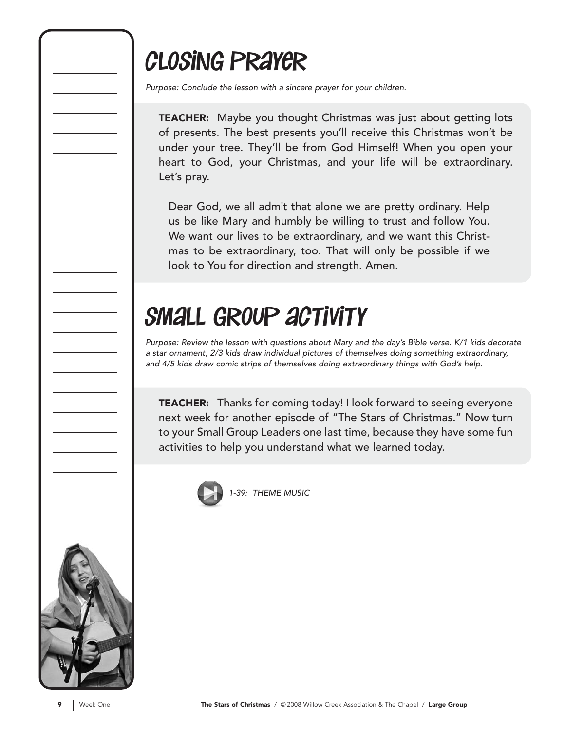# closing prayer

Purpose: Conclude the lesson with a sincere prayer for your children.

TEACHER: Maybe you thought Christmas was just about getting lots of presents. The best presents you'll receive this Christmas won't be under your tree. They'll be from God Himself! When you open your heart to God, your Christmas, and your life will be extraordinary. Let's pray.

Dear God, we all admit that alone we are pretty ordinary. Help us be like Mary and humbly be willing to trust and follow You. We want our lives to be extraordinary, and we want this Christmas to be extraordinary, too. That will only be possible if we look to You for direction and strength. Amen.

# small group activity

Purpose: Review the lesson with questions about Mary and the day's Bible verse. K/1 kids decorate a star ornament, 2/3 kids draw individual pictures of themselves doing something extraordinary, and 4/5 kids draw comic strips of themselves doing extraordinary things with God's help.

TEACHER: Thanks for coming today! I look forward to seeing everyone next week for another episode of "The Stars of Christmas." Now turn to your Small Group Leaders one last time, because they have some fun activities to help you understand what we learned today.



39: THEME MUSIC